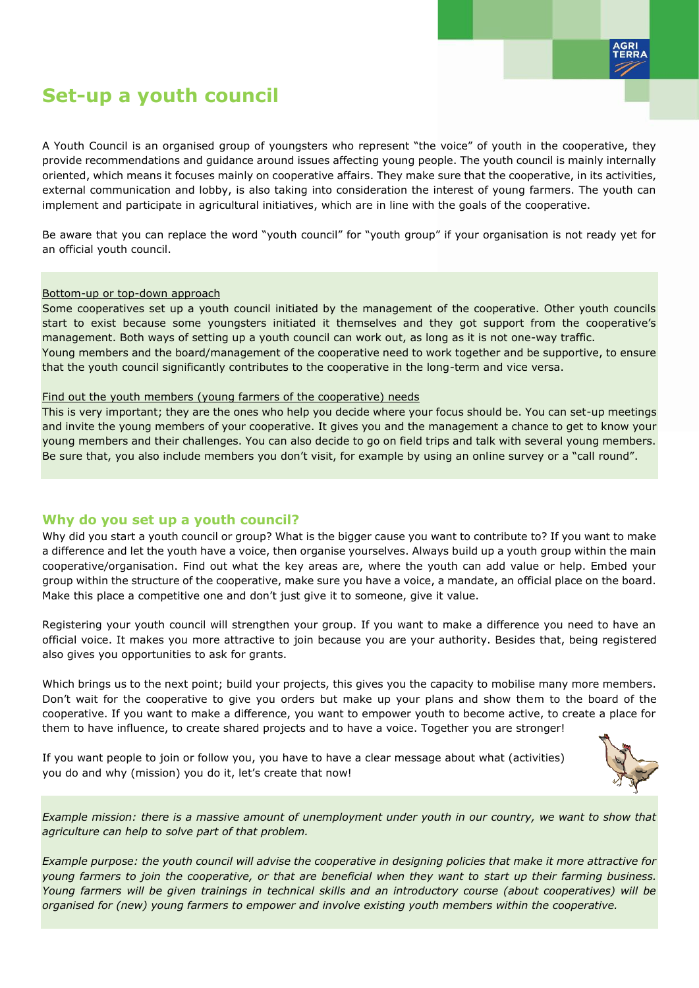

# **Set-up a youth council**

A Youth Council is an organised group of youngsters who represent "the voice" of youth in the cooperative, they provide recommendations and guidance around issues affecting young people. The youth council is mainly internally oriented, which means it focuses mainly on cooperative affairs. They make sure that the cooperative, in its activities, external communication and lobby, is also taking into consideration the interest of young farmers. The youth can implement and participate in agricultural initiatives, which are in line with the goals of the cooperative.

Be aware that you can replace the word "youth council" for "youth group" if your organisation is not ready yet for an official youth council.

#### Bottom-up or top-down approach

Some cooperatives set up a youth council initiated by the management of the cooperative. Other youth councils start to exist because some youngsters initiated it themselves and they got support from the cooperative's management. Both ways of setting up a youth council can work out, as long as it is not one-way traffic. Young members and the board/management of the cooperative need to work together and be supportive, to ensure that the youth council significantly contributes to the cooperative in the long-term and vice versa.

#### Find out the youth members (young farmers of the cooperative) needs

This is very important; they are the ones who help you decide where your focus should be. You can set-up meetings and invite the young members of your cooperative. It gives you and the management a chance to get to know your young members and their challenges. You can also decide to go on field trips and talk with several young members. Be sure that, you also include members you don't visit, for example by using an online survey or a "call round".

# **Why do you set up a youth council?**

Why did you start a youth council or group? What is the bigger cause you want to contribute to? If you want to make a difference and let the youth have a voice, then organise yourselves. Always build up a youth group within the main cooperative/organisation. Find out what the key areas are, where the youth can add value or help. Embed your group within the structure of the cooperative, make sure you have a voice, a mandate, an official place on the board. Make this place a competitive one and don't just give it to someone, give it value.

Registering your youth council will strengthen your group. If you want to make a difference you need to have an official voice. It makes you more attractive to join because you are your authority. Besides that, being registered also gives you opportunities to ask for grants.

Which brings us to the next point; build your projects, this gives you the capacity to mobilise many more members. Don't wait for the cooperative to give you orders but make up your plans and show them to the board of the cooperative. If you want to make a difference, you want to empower youth to become active, to create a place for them to have influence, to create shared projects and to have a voice. Together you are stronger!

If you want people to join or follow you, you have to have a clear message about what (activities) you do and why (mission) you do it, let's create that now!



*Example mission: there is a massive amount of unemployment under youth in our country, we want to show that agriculture can help to solve part of that problem.*

*Example purpose: the youth council will advise the cooperative in designing policies that make it more attractive for young farmers to join the cooperative, or that are beneficial when they want to start up their farming business. Young farmers will be given trainings in technical skills and an introductory course (about cooperatives) will be organised for (new) young farmers to empower and involve existing youth members within the cooperative.*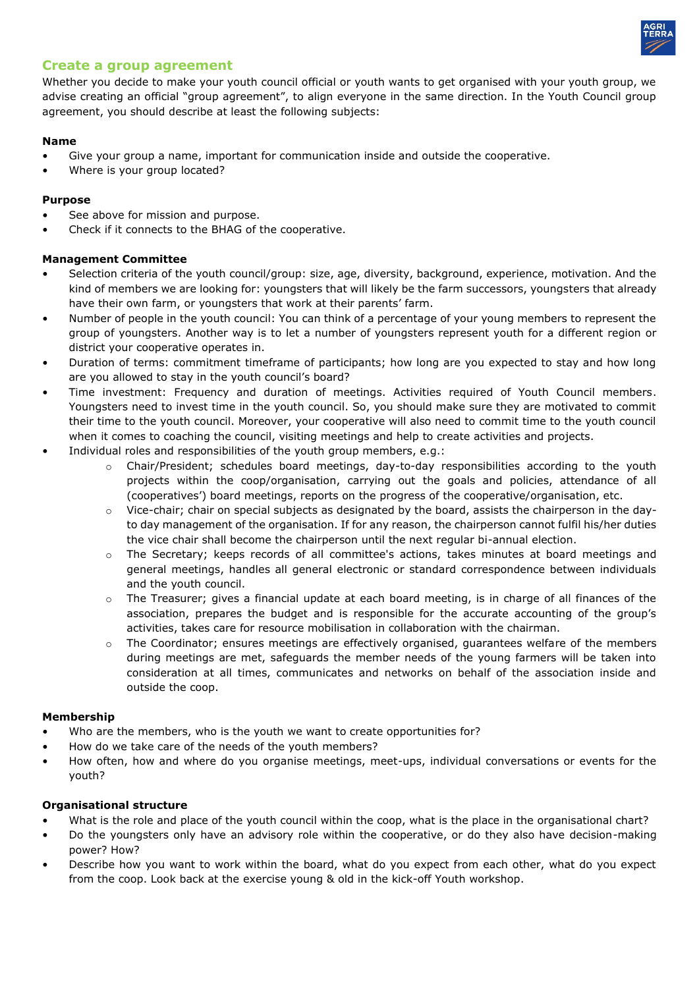

# **Create a group agreement**

Whether you decide to make your youth council official or youth wants to get organised with your youth group, we advise creating an official "group agreement", to align everyone in the same direction. In the Youth Council group agreement, you should describe at least the following subjects:

#### **Name**

- Give your group a name, important for communication inside and outside the cooperative.
- Where is your group located?

## **Purpose**

- See above for mission and purpose.
- Check if it connects to the BHAG of the cooperative.

## **Management Committee**

- Selection criteria of the youth council/group: size, age, diversity, background, experience, motivation. And the kind of members we are looking for: youngsters that will likely be the farm successors, youngsters that already have their own farm, or youngsters that work at their parents' farm.
- Number of people in the youth council: You can think of a percentage of your young members to represent the group of youngsters. Another way is to let a number of youngsters represent youth for a different region or district your cooperative operates in.
- Duration of terms: commitment timeframe of participants; how long are you expected to stay and how long are you allowed to stay in the youth council's board?
- Time investment: Frequency and duration of meetings. Activities required of Youth Council members. Youngsters need to invest time in the youth council. So, you should make sure they are motivated to commit their time to the youth council. Moreover, your cooperative will also need to commit time to the youth council when it comes to coaching the council, visiting meetings and help to create activities and projects.
- Individual roles and responsibilities of the youth group members, e.g.:
	- o Chair/President; schedules board meetings, day-to-day responsibilities according to the youth projects within the coop/organisation, carrying out the goals and policies, attendance of all (cooperatives') board meetings, reports on the progress of the cooperative/organisation, etc.
	- o Vice-chair; chair on special subjects as designated by the board, assists the chairperson in the dayto day management of the organisation. If for any reason, the chairperson cannot fulfil his/her duties the vice chair shall become the chairperson until the next regular bi-annual election.
	- o The Secretary; keeps records of all committee's actions, takes minutes at board meetings and general meetings, handles all general electronic or standard correspondence between individuals and the youth council.
	- $\circ$  The Treasurer; gives a financial update at each board meeting, is in charge of all finances of the association, prepares the budget and is responsible for the accurate accounting of the group's activities, takes care for resource mobilisation in collaboration with the chairman.
	- o The Coordinator; ensures meetings are effectively organised, guarantees welfare of the members during meetings are met, safeguards the member needs of the young farmers will be taken into consideration at all times, communicates and networks on behalf of the association inside and outside the coop.

#### **Membership**

- Who are the members, who is the youth we want to create opportunities for?
- How do we take care of the needs of the youth members?
- How often, how and where do you organise meetings, meet-ups, individual conversations or events for the youth?

#### **Organisational structure**

- What is the role and place of the youth council within the coop, what is the place in the organisational chart?
- Do the youngsters only have an advisory role within the cooperative, or do they also have decision-making power? How?
- Describe how you want to work within the board, what do you expect from each other, what do you expect from the coop. Look back at the exercise young & old in the kick-off Youth workshop.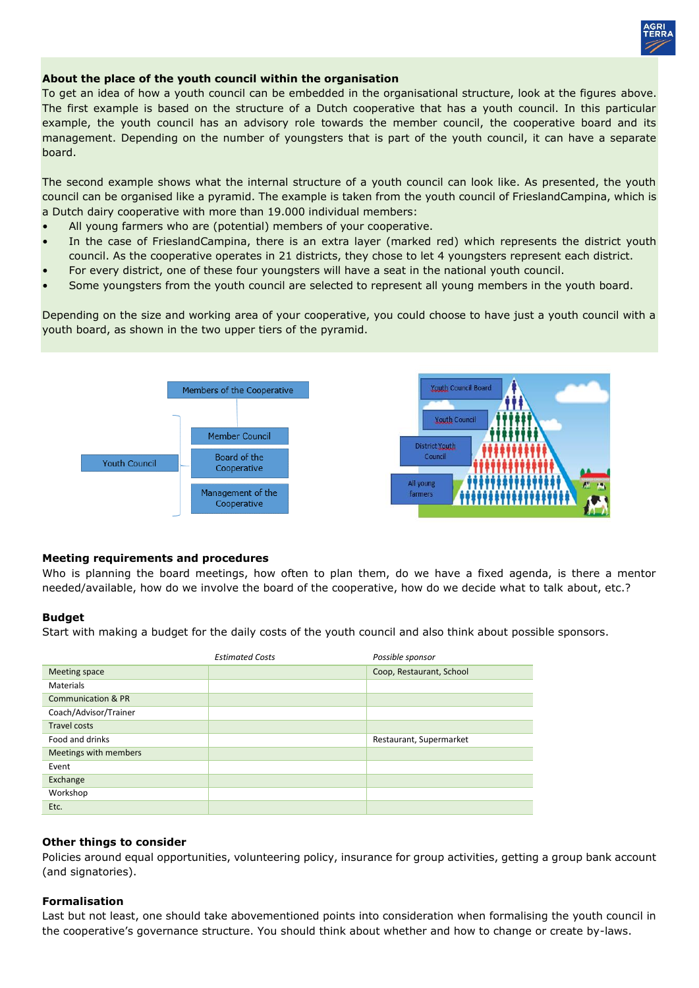

## **About the place of the youth council within the organisation**

To get an idea of how a youth council can be embedded in the organisational structure, look at the figures above. The first example is based on the structure of a Dutch cooperative that has a youth council. In this particular example, the youth council has an advisory role towards the member council, the cooperative board and its management. Depending on the number of youngsters that is part of the youth council, it can have a separate board.

The second example shows what the internal structure of a youth council can look like. As presented, the youth council can be organised like a pyramid. The example is taken from the youth council of FrieslandCampina, which is a Dutch dairy cooperative with more than 19.000 individual members:

- All young farmers who are (potential) members of your cooperative.
- In the case of FrieslandCampina, there is an extra layer (marked red) which represents the district youth council. As the cooperative operates in 21 districts, they chose to let 4 youngsters represent each district.
- For every district, one of these four youngsters will have a seat in the national youth council.
- Some youngsters from the youth council are selected to represent all young members in the youth board.

Depending on the size and working area of your cooperative, you could choose to have just a youth council with a youth board, as shown in the two upper tiers of the pyramid.



#### **Meeting requirements and procedures**

Who is planning the board meetings, how often to plan them, do we have a fixed agenda, is there a mentor needed/available, how do we involve the board of the cooperative, how do we decide what to talk about, etc.?

#### **Budget**

Start with making a budget for the daily costs of the youth council and also think about possible sponsors.

|                               | <b>Estimated Costs</b> | Possible sponsor         |
|-------------------------------|------------------------|--------------------------|
| Meeting space                 |                        | Coop, Restaurant, School |
| <b>Materials</b>              |                        |                          |
| <b>Communication &amp; PR</b> |                        |                          |
| Coach/Advisor/Trainer         |                        |                          |
| <b>Travel costs</b>           |                        |                          |
| Food and drinks               |                        | Restaurant, Supermarket  |
| Meetings with members         |                        |                          |
| Event                         |                        |                          |
| Exchange                      |                        |                          |
| Workshop                      |                        |                          |
| Etc.                          |                        |                          |

#### **Other things to consider**

Policies around equal opportunities, volunteering policy, insurance for group activities, getting a group bank account (and signatories).

#### **Formalisation**

Last but not least, one should take abovementioned points into consideration when formalising the youth council in the cooperative's governance structure. You should think about whether and how to change or create by-laws.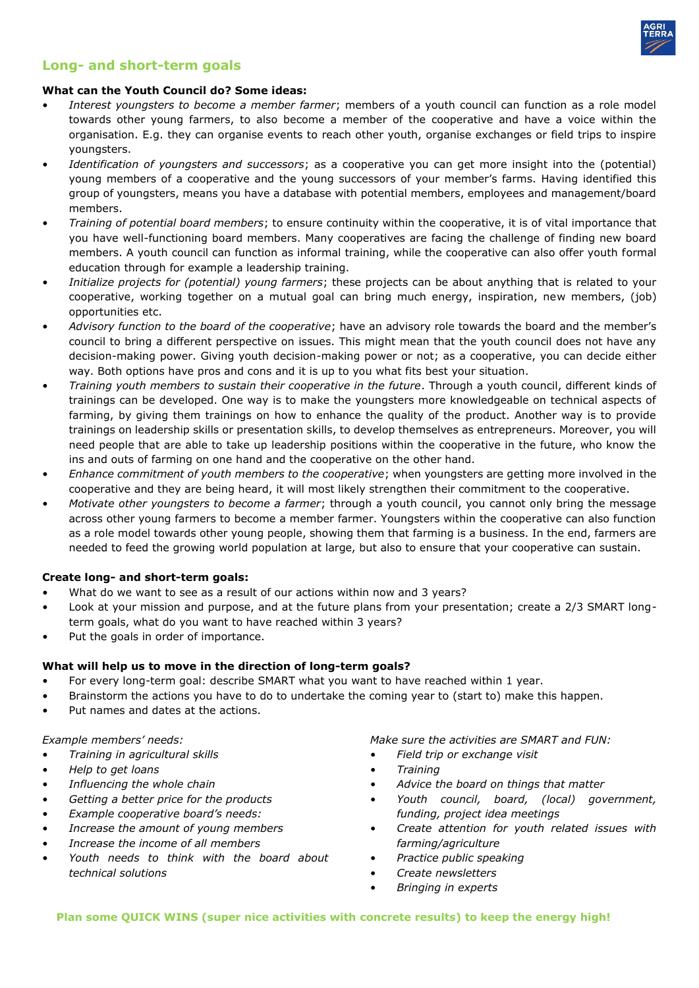

# **Long- and short-term goals**

#### **What can the Youth Council do? Some ideas:**

- *Interest youngsters to become a member farmer*; members of a youth council can function as a role model towards other young farmers, to also become a member of the cooperative and have a voice within the organisation. E.g. they can organise events to reach other youth, organise exchanges or field trips to inspire youngsters.
- *Identification of youngsters and successors*; as a cooperative you can get more insight into the (potential) young members of a cooperative and the young successors of your member's farms. Having identified this group of youngsters, means you have a database with potential members, employees and management/board members.
- *Training of potential board members*; to ensure continuity within the cooperative, it is of vital importance that you have well-functioning board members. Many cooperatives are facing the challenge of finding new board members. A youth council can function as informal training, while the cooperative can also offer youth formal education through for example a leadership training.
- *Initialize projects for (potential) young farmers*; these projects can be about anything that is related to your cooperative, working together on a mutual goal can bring much energy, inspiration, new members, (job) opportunities etc.
- *Advisory function to the board of the cooperative*; have an advisory role towards the board and the member's council to bring a different perspective on issues. This might mean that the youth council does not have any decision-making power. Giving youth decision-making power or not; as a cooperative, you can decide either way. Both options have pros and cons and it is up to you what fits best your situation.
- *Training youth members to sustain their cooperative in the future*. Through a youth council, different kinds of trainings can be developed. One way is to make the youngsters more knowledgeable on technical aspects of farming, by giving them trainings on how to enhance the quality of the product. Another way is to provide trainings on leadership skills or presentation skills, to develop themselves as entrepreneurs. Moreover, you will need people that are able to take up leadership positions within the cooperative in the future, who know the ins and outs of farming on one hand and the cooperative on the other hand.
- *Enhance commitment of youth members to the cooperative*; when youngsters are getting more involved in the cooperative and they are being heard, it will most likely strengthen their commitment to the cooperative.
- *Motivate other youngsters to become a farmer*; through a youth council, you cannot only bring the message across other young farmers to become a member farmer. Youngsters within the cooperative can also function as a role model towards other young people, showing them that farming is a business. In the end, farmers are needed to feed the growing world population at large, but also to ensure that your cooperative can sustain.

#### **Create long- and short-term goals:**

- What do we want to see as a result of our actions within now and 3 years?
- Look at your mission and purpose, and at the future plans from your presentation; create a 2/3 SMART longterm goals, what do you want to have reached within 3 years?
- Put the goals in order of importance.

# **What will help us to move in the direction of long-term goals?**

- For every long-term goal: describe SMART what you want to have reached within 1 year.
- Brainstorm the actions you have to do to undertake the coming year to (start to) make this happen.
- Put names and dates at the actions.

#### *Example members' needs:*

- *Training in agricultural skills*
- *Help to get loans*
- *Influencing the whole chain*
- *Getting a better price for the products*
- *Example cooperative board's needs:*
- *Increase the amount of young members*
- *Increase the income of all members*
- *Youth needs to think with the board about technical solutions*

*Make sure the activities are SMART and FUN:* 

- *Field trip or exchange visit*
- *Training*
- *Advice the board on things that matter*
- *Youth council, board, (local) government, funding, project idea meetings*
- *Create attention for youth related issues with farming/agriculture*
- *Practice public speaking*
- *Create newsletters*
- *Bringing in experts*

**Plan some QUICK WINS (super nice activities with concrete results) to keep the energy high!**